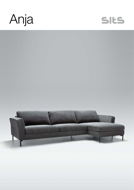



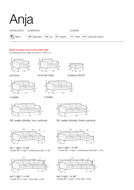

#### Model available until 31st December 2022

All drawings shown height with leg no. 145A H-15.







armchair wide

 $102 - 126$ 





3 seater





set 1 right / or left 2 seater left / or right + chaiselongue right / or left



set 3 right / or left 2 seater left / or right + divan right / or left



3XL seater (divided, two cushions) 3XL seater (divided, three cushions)

 $70 - 90$ 

footstool 90x70



set 2 right / or left 3 seater left / or right + chaiselongue wide right / or left



set 4 right / or left 3 seater left / or right + divan right / or left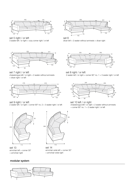





set 6 divan left  $+ 2$  seater without armrests  $+$  divan right



set 7 right / or left

chaiselongue left / or right + 2 seater without armrests + divan right / or left



set 9 right / or left

2 seater left / or right + corner 90° no. 2 + 3 seater right / or left



set 13 armchair left + corner 30° + armchair right

## modular system



set 14 armchair wide left + corner 30° + armchair wide right





set 8 right / or left 2 seater left / or right + corner 90° no. 1 + 3 seater right / or left



set 10 left / or right chaiselongue left / or right + 2 seater without armrests + corner 90° no. 1 + 2 seater right / or left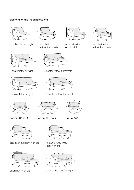## elements of the modular system



armchair left / or right armchair armchair armchair wide



2 seater left / or right



3 seater left / or right



armchair without armrests

 $120 - 120$ 

corner 90° no. 2



2 seater without armrests

left / or right



3 seater without armrests



corner 90° no. 1



chaiselongue right / or left



divan right / or left



99 44 99

corner 30°

 $\frac{1}{108}$ 

chaiselongue wide right / or left



cozy corner left / or right



armchair wide without armrests